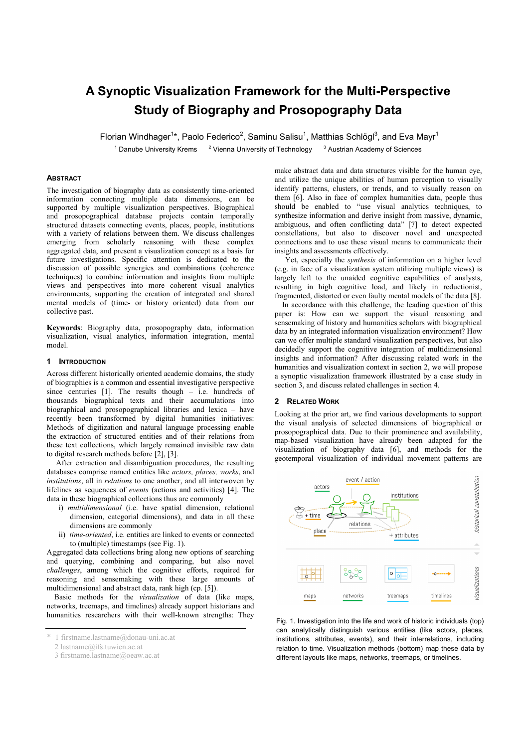# **A Synoptic Visualization Framework for the Multi-Perspective Study of Biography and Prosopography Data**

Florian Windhager<sup>1\*</sup>, Paolo Federico<sup>2</sup>, Saminu Salisu<sup>1</sup>, Matthias Schlögl<sup>3</sup>, and Eva Mayr<sup>1</sup>

<sup>1</sup> Danube University Krems  $\frac{2 \text{ Vienna University of Technology}}{2}$  Austrian Academy of Sciences

# **ABSTRACT**

The investigation of biography data as consistently time-oriented information connecting multiple data dimensions, can be supported by multiple visualization perspectives. Biographical and prosopographical database projects contain temporally structured datasets connecting events, places, people, institutions with a variety of relations between them. We discuss challenges emerging from scholarly reasoning with these complex aggregated data, and present a visualization concept as a basis for future investigations. Specific attention is dedicated to the discussion of possible synergies and combinations (coherence techniques) to combine information and insights from multiple views and perspectives into more coherent visual analytics environments, supporting the creation of integrated and shared mental models of (time- or history oriented) data from our collective past.

**Keywords**: Biography data, prosopography data, information visualization, visual analytics, information integration, mental model.

#### **1 INTRODUCTION**

Across different historically oriented academic domains, the study of biographies is a common and essential investigative perspective since centuries  $[1]$ . The results though – i.e. hundreds of thousands biographical texts and their accumulations into biographical and prosopographical libraries and lexica – have recently been transformed by digital humanities initiatives: Methods of digitization and natural language processing enable the extraction of structured entities and of their relations from these text collections, which largely remained invisible raw data to digital research methods before [2], [3].

 After extraction and disambiguation procedures, the resulting databases comprise named entities like *actors, places, works*, and *institutions*, all in *relations* to one another, and all interwoven by lifelines as sequences of *events* (actions and activities) [4]. The data in these biographical collections thus are commonly

- i) *multidimensional* (i.e. have spatial dimension, relational dimension, categorial dimensions), and data in all these dimensions are commonly
- ii) *time-oriented*, i.e. entities are linked to events or connected to (multiple) timestamps (see Fig. 1).

Aggregated data collections bring along new options of searching and querying, combining and comparing, but also novel *challenges*, among which the cognitive efforts, required for reasoning and sensemaking with these large amounts of multidimensional and abstract data, rank high (cp. [5]).

Basic methods for the *visualization* of data (like maps, networks, treemaps, and timelines) already support historians and humanities researchers with their well-known strengths: They

make abstract data and data structures visible for the human eye, and utilize the unique abilities of human perception to visually identify patterns, clusters, or trends, and to visually reason on them [6]. Also in face of complex humanities data, people thus should be enabled to "use visual analytics techniques, to synthesize information and derive insight from massive, dynamic, ambiguous, and often conflicting data" [7] to detect expected constellations, but also to discover novel and unexpected connections and to use these visual means to communicate their insights and assessments effectively.

Yet, especially the *synthesis* of information on a higher level (e.g. in face of a visualization system utilizing multiple views) is largely left to the unaided cognitive capabilities of analysts, resulting in high cognitive load, and likely in reductionist, fragmented, distorted or even faulty mental models of the data [8].

In accordance with this challenge, the leading question of this paper is: How can we support the visual reasoning and sensemaking of history and humanities scholars with biographical data by an integrated information visualization environment? How can we offer multiple standard visualization perspectives, but also decidedly support the cognitive integration of multidimensional insights and information? After discussing related work in the humanities and visualization context in section 2, we will propose a synoptic visualization framework illustrated by a case study in section 3, and discuss related challenges in section 4.

## **2 RELATED WORK**

Looking at the prior art, we find various developments to support the visual analysis of selected dimensions of biographical or prosopographical data. Due to their prominence and availability, map-based visualization have already been adapted for the visualization of biography data [6], and methods for the geotemporal visualization of individual movement patterns are



Fig. 1. Investigation into the life and work of historic individuals (top) can analytically distinguish various entities (like actors, places, institutions, attributes, events), and their interrelations, including relation to time. Visualization methods (bottom) map these data by different layouts like maps, networks, treemaps, or timelines.

<sup>\* 1</sup> firstname.lastname@donau-uni.ac.at

 <sup>2</sup> lastname@ifs.tuwien.ac.at

 <sup>3</sup> firstname.lastname@oeaw.ac.at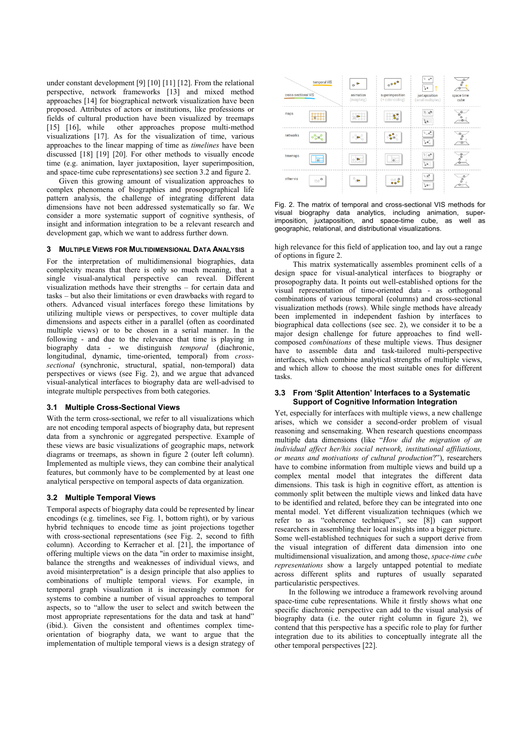under constant development [9] [10] [11] [12]. From the relational perspective, network frameworks [13] and mixed method approaches [14] for biographical network visualization have been proposed. Attributes of actors or institutions, like professions or fields of cultural production have been visualized by treemaps [15] [16], while other approaches propose multi-method visualizations [17]. As for the visualization of time, various approaches to the linear mapping of time as *timelines* have been discussed [18] [19] [20]. For other methods to visually encode time (e.g. animation, layer juxtaposition, layer superimposition, and space-time cube representations) see section 3.2 and figure 2.

Given this growing amount of visualization approaches to complex phenomena of biographies and prosopographical life pattern analysis, the challenge of integrating different data dimensions have not been addressed systematically so far. We consider a more systematic support of cognitive synthesis, of insight and information integration to be a relevant research and development gap, which we want to address further down.

# **MULTIPLE VIEWS FOR MULTIDIMENSIONAL DATA ANALYSIS**

For the interpretation of multidimensional biographies, data complexity means that there is only so much meaning, that a single visual-analytical perspective can reveal. Different visualization methods have their strengths – for certain data and tasks – but also their limitations or even drawbacks with regard to others. Advanced visual interfaces forego these limitations by utilizing multiple views or perspectives, to cover multiple data dimensions and aspects either in a parallel (often as coordinated multiple views) or to be chosen in a serial manner. In the following - and due to the relevance that time is playing in biography data - we distinguish *temporal* (diachronic, longitudinal, dynamic, time-oriented, temporal) from *crosssectional* (synchronic, structural, spatial, non-temporal) data perspectives or views (see Fig. 2), and we argue that advanced visual-analytical interfaces to biography data are well-advised to integrate multiple perspectives from both categories.

## **3.1 Multiple Cross-Sectional Views**

With the term cross-sectional, we refer to all visualizations which are not encoding temporal aspects of biography data, but represent data from a synchronic or aggregated perspective. Example of these views are basic visualizations of geographic maps, network diagrams or treemaps, as shown in figure 2 (outer left column). Implemented as multiple views, they can combine their analytical features, but commonly have to be complemented by at least one analytical perspective on temporal aspects of data organization.

#### **3.2 Multiple Temporal Views**

Temporal aspects of biography data could be represented by linear encodings (e.g. timelines, see Fig. 1, bottom right), or by various hybrid techniques to encode time as joint projections together with cross-sectional representations (see Fig. 2, second to fifth column). According to Kerracher et al. [21], the importance of offering multiple views on the data "in order to maximise insight, balance the strengths and weaknesses of individual views, and avoid misinterpretation" is a design principle that also applies to combinations of multiple temporal views. For example, in temporal graph visualization it is increasingly common for systems to combine a number of visual approaches to temporal aspects, so to "allow the user to select and switch between the most appropriate representations for the data and task at hand" (ibid.). Given the consistent and oftentimes complex timeorientation of biography data, we want to argue that the implementation of multiple temporal views is a design strategy of



Fig. 2. The matrix of temporal and cross-sectional VIS methods for visual biography data analytics, including animation, superimposition, juxtaposition, and space-time cube, as well as geographic, relational, and distributional visualizations.

high relevance for this field of application too, and lay out a range of options in figure 2.

This matrix systematically assembles prominent cells of a design space for visual-analytical interfaces to biography or prosopography data. It points out well-established options for the visual representation of time-oriented data - as orthogonal combinations of various temporal (columns) and cross-sectional visualization methods (rows). While single methods have already been implemented in independent fashion by interfaces to biographical data collections (see sec. 2), we consider it to be a major design challenge for future approaches to find wellcomposed *combinations* of these multiple views. Thus designer have to assemble data and task-tailored multi-perspective interfaces, which combine analytical strengths of multiple views, and which allow to choose the most suitable ones for different tasks.

# **3.3 From 'Split Attention' Interfaces to a Systematic Support of Cognitive Information Integration**

Yet, especially for interfaces with multiple views, a new challenge arises, which we consider a second-order problem of visual reasoning and sensemaking. When research questions encompass multiple data dimensions (like "*How did the migration of an individual affect her/his social network, institutional affiliations, or means and motivations of cultural production*?"), researchers have to combine information from multiple views and build up a complex mental model that integrates the different data dimensions. This task is high in cognitive effort, as attention is commonly split between the multiple views and linked data have to be identified and related, before they can be integrated into one mental model. Yet different visualization techniques (which we refer to as "coherence techniques", see [8]) can support researchers in assembling their local insights into a bigger picture. Some well-established techniques for such a support derive from the visual integration of different data dimension into one multidimensional visualization, and among those, *space-time cube representations* show a largely untapped potential to mediate across different splits and ruptures of usually separated particularistic perspectives.

In the following we introduce a framework revolving around space-time cube representations. While it firstly shows what one specific diachronic perspective can add to the visual analysis of biography data (i.e. the outer right column in figure 2), we contend that this perspective has a specific role to play for further integration due to its abilities to conceptually integrate all the other temporal perspectives [22].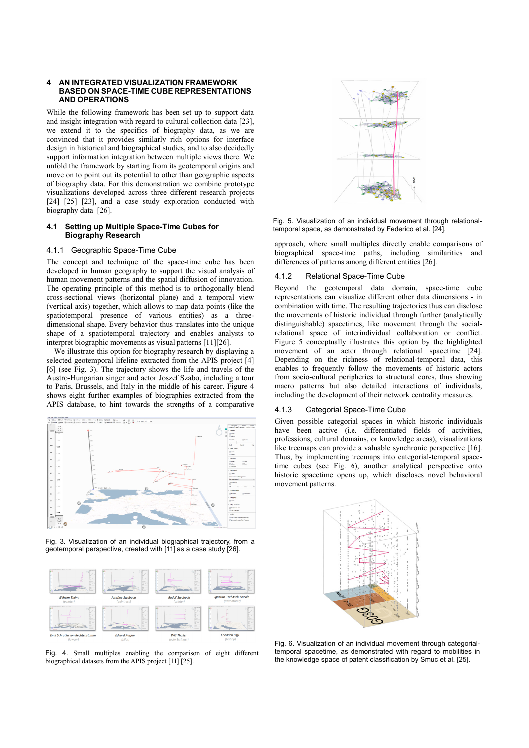## **4 AN INTEGRATED VISUALIZATION FRAMEWORK BASED ON SPACE-TIME CUBE REPRESENTATIONS AND OPERATIONS**

While the following framework has been set up to support data and insight integration with regard to cultural collection data [23], we extend it to the specifics of biography data, as we are convinced that it provides similarly rich options for interface design in historical and biographical studies, and to also decidedly support information integration between multiple views there. We unfold the framework by starting from its geotemporal origins and move on to point out its potential to other than geographic aspects of biography data. For this demonstration we combine prototype visualizations developed across three different research projects [24] [25] [23], and a case study exploration conducted with biography data [26].

# **4.1 Setting up Multiple Space-Time Cubes for Biography Research**

## 4.1.1 Geographic Space-Time Cube

The concept and technique of the space-time cube has been developed in human geography to support the visual analysis of human movement patterns and the spatial diffusion of innovation. The operating principle of this method is to orthogonally blend cross-sectional views (horizontal plane) and a temporal view (vertical axis) together, which allows to map data points (like the spatiotemporal presence of various entities) as a threedimensional shape. Every behavior thus translates into the unique shape of a spatiotemporal trajectory and enables analysts to interpret biographic movements as visual patterns [11][26].

We illustrate this option for biography research by displaying a selected geotemporal lifeline extracted from the APIS project [4] [6] (see Fig. 3). The trajectory shows the life and travels of the Austro-Hungarian singer and actor Joszef Szabo, including a tour to Paris, Brussels, and Italy in the middle of his career. Figure 4 shows eight further examples of biographies extracted from the APIS database, to hint towards the strengths of a comparative



Fig. 3. Visualization of an individual biographical trajectory, from a geotemporal perspective, created with [11] as a case study [26].



Fig. 4. Small multiples enabling the comparison of eight different temporal spacetime, as demonstrated with regard to mobilities<br>biographical datasets from the APIS project [11] [25]. The knowledge space of patent classifi biographical datasets from the APIS project [11] [25].



Fig. 5. Visualization of an individual movement through relationaltemporal space, as demonstrated by Federico et al. [24].

approach, where small multiples directly enable comparisons of biographical space-time paths, including similarities and differences of patterns among different entities [26].

# 4.1.2 Relational Space-Time Cube

Beyond the geotemporal data domain, space-time cube representations can visualize different other data dimensions - in combination with time. The resulting trajectories thus can disclose the movements of historic individual through further (analytically distinguishable) spacetimes, like movement through the socialrelational space of interindividual collaboration or conflict. Figure 5 conceptually illustrates this option by the highlighted movement of an actor through relational spacetime [24]. Depending on the richness of relational-temporal data, this enables to frequently follow the movements of historic actors from socio-cultural peripheries to structural cores, thus showing macro patterns but also detailed interactions of individuals, including the development of their network centrality measures.

# 4.1.3 Categorial Space-Time Cube

Given possible categorial spaces in which historic individuals have been active (i.e. differentiated fields of activities, professions, cultural domains, or knowledge areas), visualizations like treemaps can provide a valuable synchronic perspective [16]. Thus, by implementing treemaps into categorial-temporal spacetime cubes (see Fig. 6), another analytical perspective onto historic spacetime opens up, which discloses novel behavioral movement patterns.



Fig. 6. Visualization of an individual movement through categorialtemporal spacetime, as demonstrated with regard to mobilities in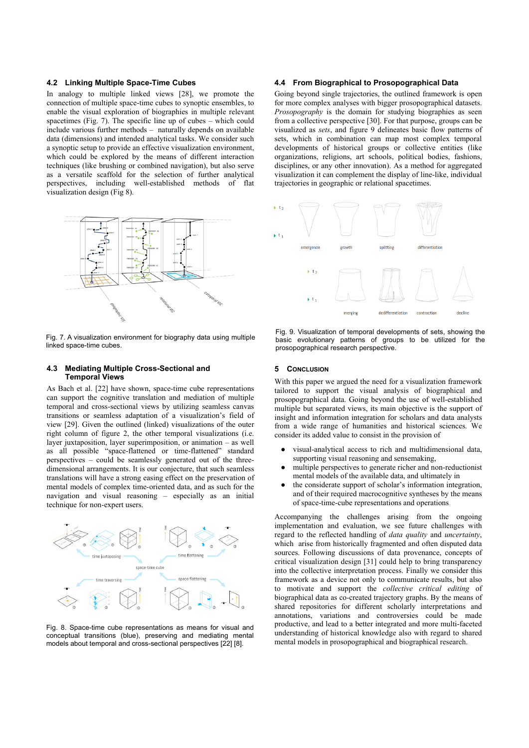## **4.2 Linking Multiple Space-Time Cubes**

In analogy to multiple linked views [28], we promote the connection of multiple space-time cubes to synoptic ensembles, to enable the visual exploration of biographies in multiple relevant spacetimes (Fig. 7). The specific line up of cubes – which could include various further methods – naturally depends on available data (dimensions) and intended analytical tasks. We consider such a synoptic setup to provide an effective visualization environment, which could be explored by the means of different interaction techniques (like brushing or combined navigation), but also serve as a versatile scaffold for the selection of further analytical perspectives, including well-established methods of flat visualization design (Fig 8).



Fig. 7. A visualization environment for biography data using multiple linked space-time cubes.

#### **4.3 Mediating Multiple Cross-Sectional and Temporal Views**

As Bach et al. [22] have shown, space-time cube representations can support the cognitive translation and mediation of multiple temporal and cross-sectional views by utilizing seamless canvas transitions or seamless adaptation of a visualization's field of view [29]. Given the outlined (linked) visualizations of the outer right column of figure 2, the other temporal visualizations (i.e. layer juxtaposition, layer superimposition, or animation – as well as all possible "space-flattened or time-flattened" standard perspectives – could be seamlessly generated out of the threedimensional arrangements. It is our conjecture, that such seamless translations will have a strong easing effect on the preservation of mental models of complex time-oriented data, and as such for the navigation and visual reasoning – especially as an initial technique for non-expert users.



Fig. 8. Space-time cube representations as means for visual and conceptual transitions (blue), preserving and mediating mental models about temporal and cross-sectional perspectives [22] [8].

# **4.4 From Biographical to Prosopographical Data**

Going beyond single trajectories, the outlined framework is open for more complex analyses with bigger prosopographical datasets. *Prosopography* is the domain for studying biographies as seen from a collective perspective [30]. For that purpose, groups can be visualized as *sets*, and figure 9 delineates basic flow patterns of sets, which in combination can map most complex temporal developments of historical groups or collective entities (like organizations, religions, art schools, political bodies, fashions, disciplines, or any other innovation). As a method for aggregated visualization it can complement the display of line-like, individual trajectories in geographic or relational spacetimes.



Fig. 9. Visualization of temporal developments of sets, showing the basic evolutionary patterns of groups to be utilized for the prosopographical research perspective.

## **5 CONCLUSION**

With this paper we argued the need for a visualization framework tailored to support the visual analysis of biographical and prosopographical data. Going beyond the use of well-established multiple but separated views, its main objective is the support of insight and information integration for scholars and data analysts from a wide range of humanities and historical sciences. We consider its added value to consist in the provision of

- visual-analytical access to rich and multidimensional data, supporting visual reasoning and sensemaking,
- multiple perspectives to generate richer and non-reductionist mental models of the available data, and ultimately in
- the considerate support of scholar's information integration, and of their required macrocognitive syntheses by the means of space-time-cube representations and operations.

Accompanying the challenges arising from the ongoing implementation and evaluation, we see future challenges with regard to the reflected handling of *data quality* and *uncertainty*, which arise from historically fragmented and often disputed data sources. Following discussions of data provenance, concepts of critical visualization design [31] could help to bring transparency into the collective interpretation process. Finally we consider this framework as a device not only to communicate results, but also to motivate and support the *collective critical editing* of biographical data as co-created trajectory graphs. By the means of shared repositories for different scholarly interpretations and annotations, variations and controversies could be made productive, and lead to a better integrated and more multi-faceted understanding of historical knowledge also with regard to shared mental models in prosopographical and biographical research.